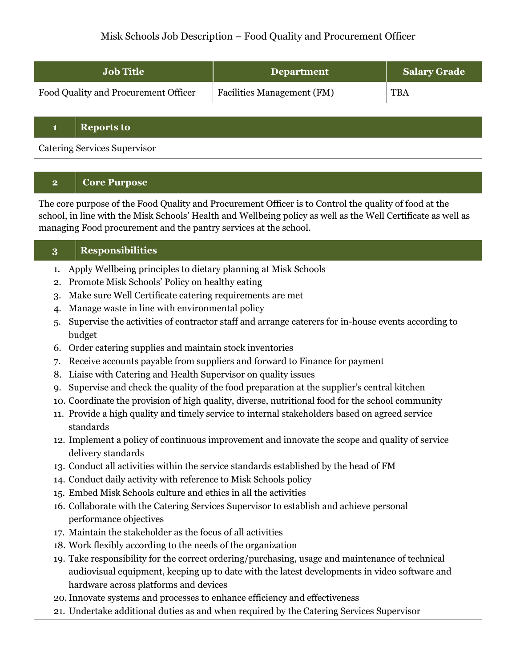| <b>Job Title</b>                     | <b>Department</b>                 | <b>Salary Grade</b> |
|--------------------------------------|-----------------------------------|---------------------|
| Food Quality and Procurement Officer | <b>Facilities Management (FM)</b> | <b>TBA</b>          |

### **1 Reports to**

Catering Services Supervisor

# **2 Core Purpose**

The core purpose of the Food Quality and Procurement Officer is to Control the quality of food at the school, in line with the Misk Schools' Health and Wellbeing policy as well as the Well Certificate as well as managing Food procurement and the pantry services at the school.

# **3 Responsibilities**

- 1. Apply Wellbeing principles to dietary planning at Misk Schools
- 2. Promote Misk Schools' Policy on healthy eating
- 3. Make sure Well Certificate catering requirements are met
- 4. Manage waste in line with environmental policy
- 5. Supervise the activities of contractor staff and arrange caterers for in-house events according to budget
- 6. Order catering supplies and maintain stock inventories
- 7. Receive accounts payable from suppliers and forward to Finance for payment
- 8. Liaise with Catering and Health Supervisor on quality issues
- 9. Supervise and check the quality of the food preparation at the supplier's central kitchen
- 10. Coordinate the provision of high quality, diverse, nutritional food for the school community
- 11. Provide a high quality and timely service to internal stakeholders based on agreed service standards
- 12. Implement a policy of continuous improvement and innovate the scope and quality of service delivery standards
- 13. Conduct all activities within the service standards established by the head of FM
- 14. Conduct daily activity with reference to Misk Schools policy
- 15. Embed Misk Schools culture and ethics in all the activities
- 16. Collaborate with the Catering Services Supervisor to establish and achieve personal performance objectives
- 17. Maintain the stakeholder as the focus of all activities
- 18. Work flexibly according to the needs of the organization
- 19. Take responsibility for the correct ordering/purchasing, usage and maintenance of technical audiovisual equipment, keeping up to date with the latest developments in video software and hardware across platforms and devices
- 20.Innovate systems and processes to enhance efficiency and effectiveness
- 21. Undertake additional duties as and when required by the Catering Services Supervisor